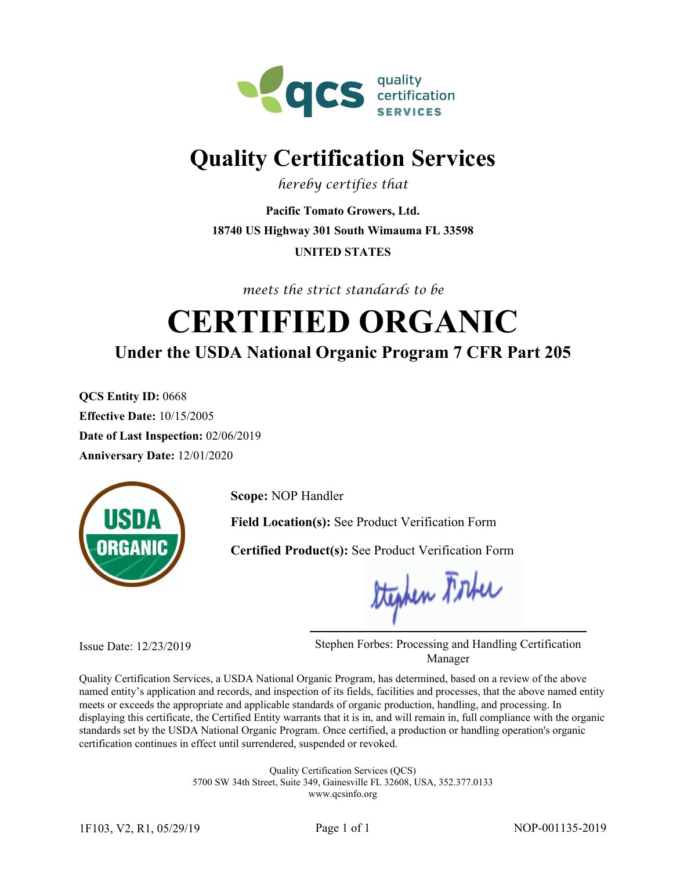

## **Quality Certification Services**

*hereby certifies that*

**18740 US Highway 301 South Wimauma FL 33598 UNITED STATES Pacific Tomato Growers, Ltd.**

*meets the strict standards to be*

# **Under the USDA National Organic Program 7 CFR Part 205 CERTIFIED ORGANIC**

**QCS Entity ID:** 0668 **Effective Date:** 10/15/2005 **Date of Last Inspection:** 02/06/2019 **Anniversary Date:** 12/01/2020



**Scope:** NOP Handler

**Field Location(s):** See Product Verification Form

**Certified Product(s):** See Product Verification Form

Stephen Forber

Issue Date: 12/23/2019 Stephen Forbes: Processing and Handling Certification Manager

Quality Certification Services, a USDA National Organic Program, has determined, based on a review of the above named entity's application and records, and inspection of its fields, facilities and processes, that the above named entity meets or exceeds the appropriate and applicable standards of organic production, handling, and processing. In displaying this certificate, the Certified Entity warrants that it is in, and will remain in, full compliance with the organic standards set by the USDA National Organic Program. Once certified, a production or handling operation's organic certification continues in effect until surrendered, suspended or revoked.

> Quality Certification Services (QCS) 5700 SW 34th Street, Suite 349, Gainesville FL 32608, USA, 352.377.0133

www.qcsinfo.org